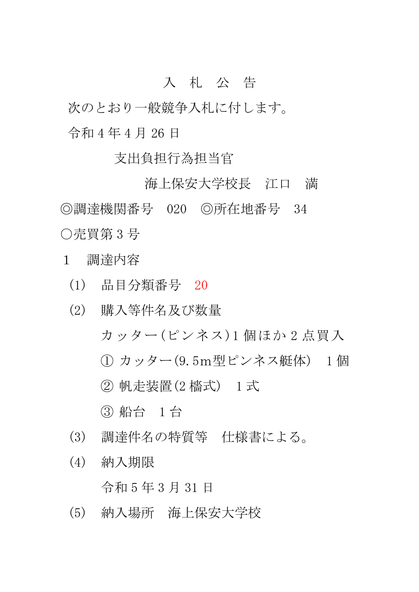## 入 札 公 告

次のとおり一般競争入札に付します。 令和 4 年 4 月 26 日

支出負担行為担当官

海上保安大学校長 江口 満 ◎調達機関番号 020 ◎所在地番号 34 ○売買第 3 号

- 1 調達内容
	- (1) 品目分類番号 20
	- (2) 購入等件名及び数量 カッター(ピンネス)1 個ほか 2 点買入 ① カッター(9.5m型ピンネス艇体) 1 個 ② 帆走装置(2 檣式) 1 式 ③ 船台 1 台
	- (3) 調達件名の特質等 仕様書による。
	- (4) 納入期限

令和 5 年 3 月 31 日

(5) 納入場所 海上保安大学校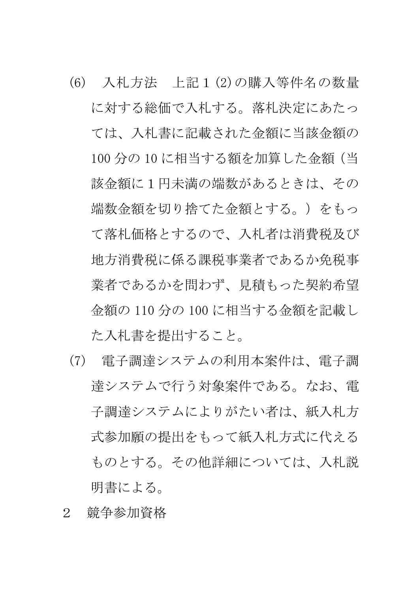- (6) 入札方法 上記1(2)の購入等件名の数量 に対する総価で入札する。落札決定にあたっ ては、入札書に記載された金額に当該金額の 100 分の 10 に相当する額を加算した金額(当 該金額に1円未満の端数があるときは、その 端数金額を切り捨てた金額とする。)をもっ て落札価格とするので、入札者は消費税及び 地方消費税に係る課税事業者であるか免税事 業者であるかを問わず、見積もった契約希望 金額の 110 分の 100 に相当する金額を記載し た入札書を提出すること。
- (7) 電子調達システムの利用本案件は、電子調 達システムで行う対象案件である。なお、電 子調達システムによりがたい者は、紙入札方 式参加願の提出をもって紙入札方式に代える ものとする。その他詳細については、入札説 明書による。
- 2 競争参加資格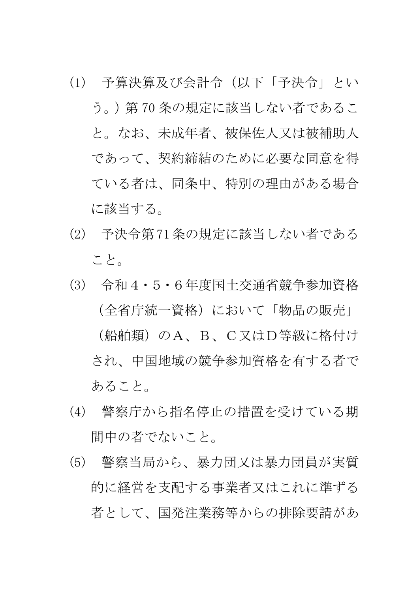- (1) 予算決算及び会計令(以下「予決令」とい う。)第 70 条の規定に該当しない者であるこ と。なお、未成年者、被保佐人又は被補助人 であって、契約締結のために必要な同意を得 ている者は、同条中、特別の理由がある場合 に該当する。
- (2) 予決令第71条の規定に該当しない者である こと。
- (3) 令和4・5・6年度国土交通省競争参加資格 (全省庁統一資格)において「物品の販売」 (船舶類)のA、B、C又はD等級に格付け され、中国地域の競争参加資格を有する者で あること。
- (4) 警察庁から指名停止の措置を受けている期 間中の者でないこと。
- (5) 警察当局から、暴力団又は暴力団員が実質 的に経営を支配する事業者又はこれに準ずる 者として、国発注業務等からの排除要請があ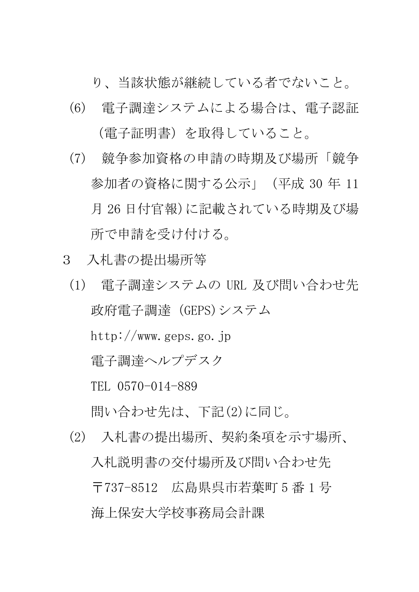り、当該状態が継続している者でないこと。

- (6) 電子調達システムによる場合は、電子認証 (電子証明書)を取得していること。
- (7) 競争参加資格の申請の時期及び場所「競争 参加者の資格に関する公示」(平成 30 年 11 月 26 日付官報)に記載されている時期及び場 所で申請を受け付ける。
- 3 入札書の提出場所等
	- (1) 電子調達システムの URL 及び問い合わせ先 政府電子調達(GEPS)システム http://www.geps.go.jp 電子調達ヘルプデスク TEL 0570-014-889 問い合わせ先は、下記(2)に同じ。
	- (2) 入札書の提出場所、契約条項を示す場所、 入札説明書の交付場所及び問い合わせ先 〒737-8512 広島県呉市若葉町 5 番 1 号 海上保安大学校事務局会計課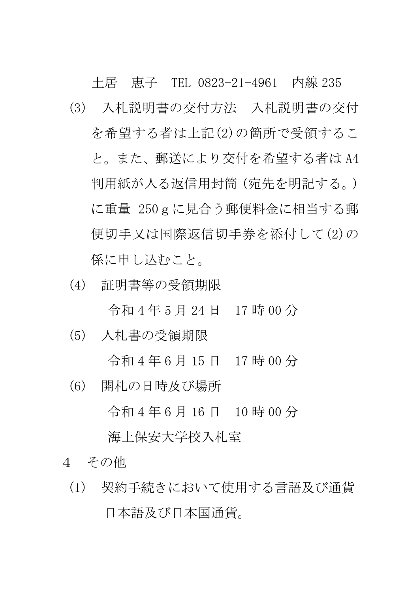土居 恵子 TEL 0823-21-4961 内線 235 (3) 入札説明書の交付方法 入札説明書の交付 を希望する者は上記(2)の箇所で受領するこ と。また、郵送により交付を希望する者は A4 判用紙が入る返信用封筒(宛先を明記する。) に重量 250gに見合う郵便料金に相当する郵 便切手又は国際返信切手券を添付して(2)の 係に申し込むこと。

(4) 証明書等の受領期限

令和 4 年 5 月 24 日 17 時 00 分

(5) 入札書の受領期限

令和 4 年 6 月 15 日 17 時 00 分

(6) 開札の日時及び場所

令和 4 年 6 月 16 日 10 時 00 分

海上保安大学校入札室

- 4 その他
	- (1) 契約手続きにおいて使用する言語及び通貨 日本語及び日本国通貨。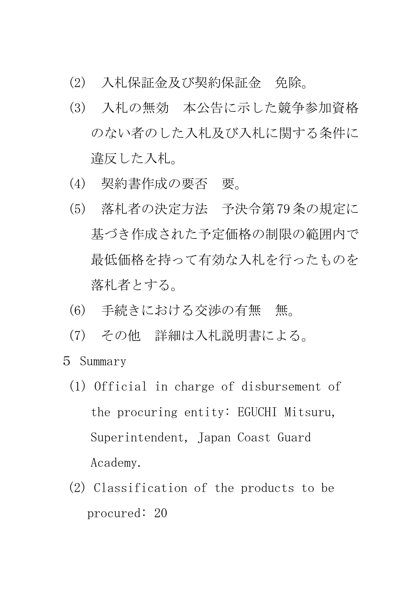- (2) 入札保証金及び契約保証金 免除。
- (3) 入札の無効 本公告に示した競争参加資格 のない者のした入札及び入札に関する条件に 違反した入札。
- (4) 契約書作成の要否 要。
- (5) 落札者の決定方法 予決令第79条の規定に 基づき作成された予定価格の制限の範囲内で 最低価格を持って有効な入札を行ったものを 落札者とする。
- (6) 手続きにおける交渉の有無 無。
- (7) その他 詳細は入札説明書による。
- 5 Summary
	- (1) Official in charge of disbursement of the procuring entity: EGUCHI Mitsuru, Superintendent, Japan Coast Guard Academy.
	- (2) Classification of the products to be procured: 20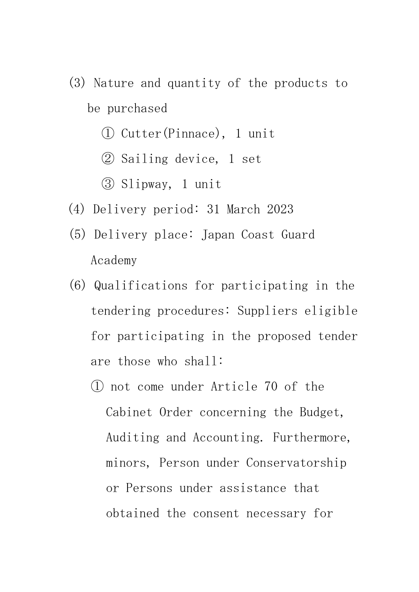- (3) Nature and quantity of the products to be purchased
	- ① Cutter(Pinnace), 1 unit
	- ② Sailing device, 1 set
	- ③ Slipway, 1 unit
- (4) Delivery period: 31 March 2023
- (5) Delivery place: Japan Coast Guard Academy
- (6) Qualifications for participating in the tendering procedures: Suppliers eligible for participating in the proposed tender are those who shall:
	- ① not come under Article 70 of the Cabinet Order concerning the Budget, Auditing and Accounting. Furthermore, minors, Person under Conservatorship or Persons under assistance that obtained the consent necessary for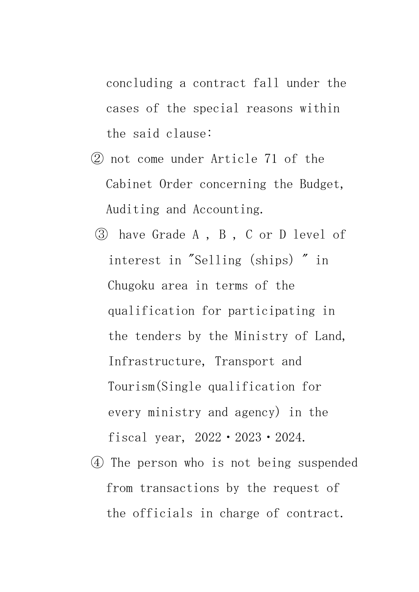concluding a contract fall under the cases of the special reasons within the said clause:

- ② not come under Article 71 of the Cabinet Order concerning the Budget, Auditing and Accounting.
- ③ have Grade A , B , C or D level of interest in "Selling (ships) " in Chugoku area in terms of the qualification for participating in the tenders by the Ministry of Land, Infrastructure, Transport and Tourism(Single qualification for every ministry and agency) in the fiscal year, 2022・2023・2024.
- ④ The person who is not being suspended from transactions by the request of the officials in charge of contract.